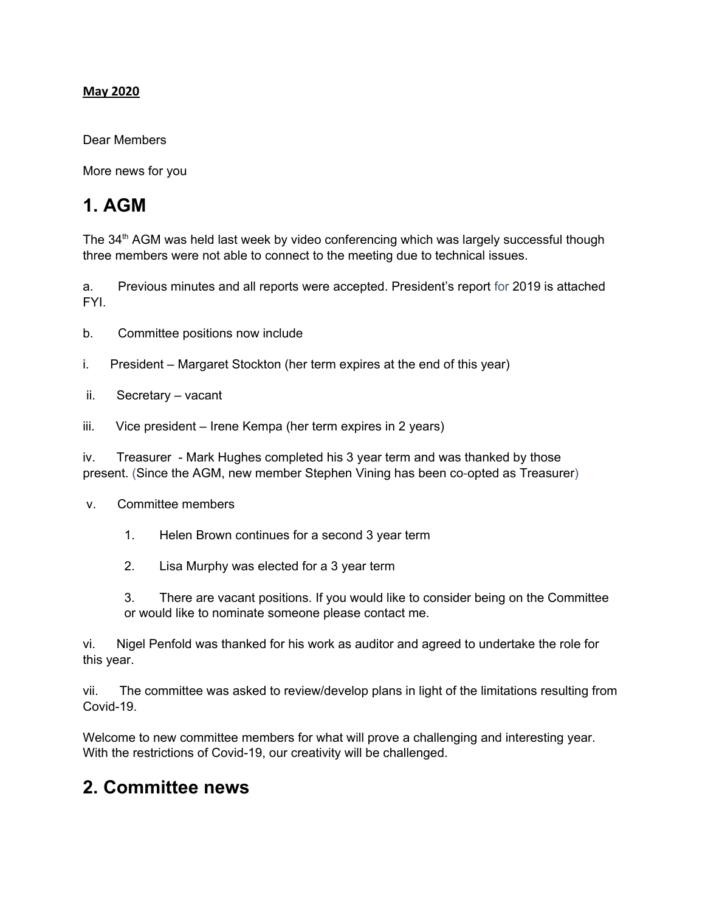#### **May 2020**

Dear Members

More news for you

# **1. AGM**

The 34<sup>th</sup> AGM was held last week by video conferencing which was largely successful though three members were not able to connect to the meeting due to technical issues.

a. Previous minutes and all reports were accepted. President's report for 2019 is attached FYI.

- b. Committee positions now include
- i. President Margaret Stockton (her term expires at the end of this year)
- ii. Secretary vacant
- iii. Vice president Irene Kempa (her term expires in 2 years)

iv. Treasurer - Mark Hughes completed his 3 year term and was thanked by those present. (Since the AGM, new member Stephen Vining has been co-opted as Treasurer)

- v. Committee members
	- 1. Helen Brown continues for a second 3 year term
	- 2. Lisa Murphy was elected for a 3 year term

3. There are vacant positions. If you would like to consider being on the Committee or would like to nominate someone please contact me.

vi. Nigel Penfold was thanked for his work as auditor and agreed to undertake the role for this year.

vii. The committee was asked to review/develop plans in light of the limitations resulting from Covid-19.

Welcome to new committee members for what will prove a challenging and interesting year. With the restrictions of Covid-19, our creativity will be challenged.

# **2. Committee news**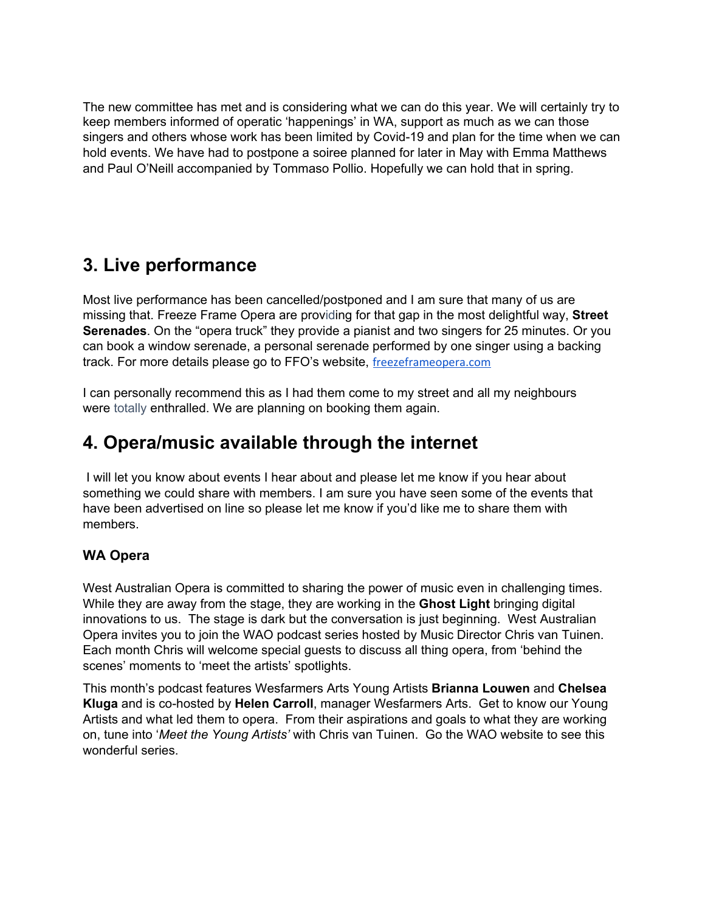The new committee has met and is considering what we can do this year. We will certainly try to keep members informed of operatic 'happenings' in WA, support as much as we can those singers and others whose work has been limited by Covid-19 and plan for the time when we can hold events. We have had to postpone a soiree planned for later in May with Emma Matthews and Paul O'Neill accompanied by Tommaso Pollio. Hopefully we can hold that in spring.

# **3. Live performance**

Most live performance has been cancelled/postponed and I am sure that many of us are missing that. Freeze Frame Opera are providing for that gap in the most delightful way, **Street Serenades**. On the "opera truck" they provide a pianist and two singers for 25 minutes. Or you can book a window serenade, a personal serenade performed by one singer using a backing track. For more details please go to FFO's website, [freezeframeopera.com](http://freezeframeopera.com/)

I can personally recommend this as I had them come to my street and all my neighbours were totally enthralled. We are planning on booking them again.

# **4. Opera/music available through the internet**

I will let you know about events I hear about and please let me know if you hear about something we could share with members. I am sure you have seen some of the events that have been advertised on line so please let me know if you'd like me to share them with members.

## **WA Opera**

West Australian Opera is committed to sharing the power of music even in challenging times. While they are away from the stage, they are working in the **Ghost Light** bringing digital innovations to us. The stage is dark but the conversation is just beginning. West Australian Opera invites you to join the WAO podcast series hosted by Music Director Chris van Tuinen. Each month Chris will welcome special guests to discuss all thing opera, from 'behind the scenes' moments to 'meet the artists' spotlights.

This month's podcast features Wesfarmers Arts Young Artists **Brianna Louwen** and **Chelsea Kluga** and is co-hosted by **Helen Carroll**, manager Wesfarmers Arts. Get to know our Young Artists and what led them to opera. From their aspirations and goals to what they are working on, tune into '*Meet the Young Artists'* with Chris van Tuinen. Go the WAO website to see this wonderful series.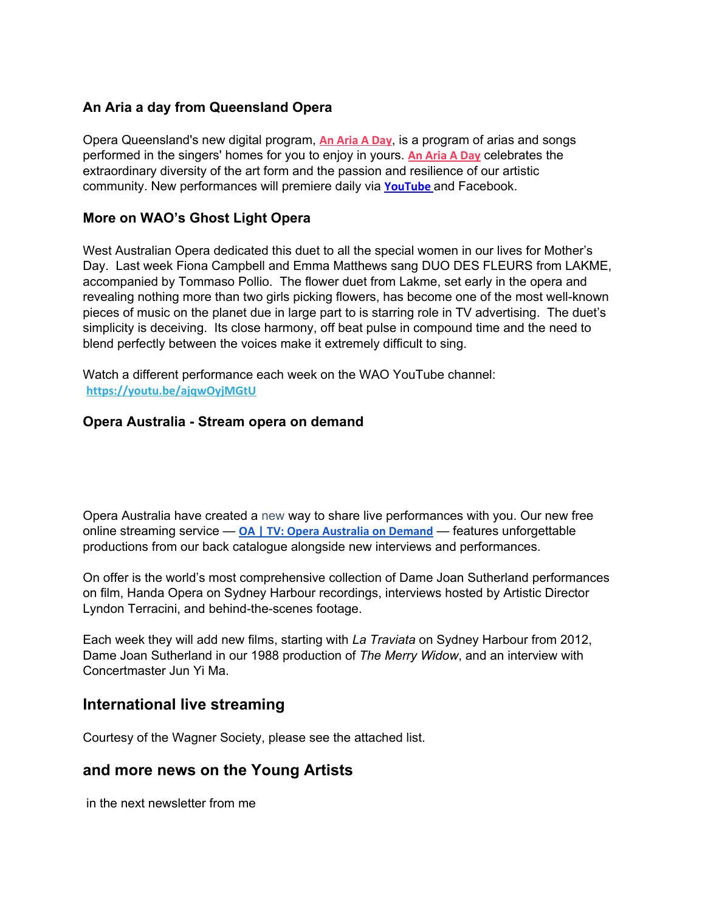### **An Aria a day from Queensland Opera**

Opera Queensland's new digital program, **An [Aria](https://www.vision6.com.au/ch/19704/2dzky0f/2157358/tUKsdlzdTi4M1vL3uwAYg7FxI.gh4tblAPCjTtFH.html) A Day**, is a program of arias and songs performed in the singers' homes for you to enjoy in yours. **An [Aria](https://www.vision6.com.au/ch/19704/2dzky0f/2157358/tUKsdlzdTi4M1vL3uwAYg7FxI.gh4tblAPCjTtFH-1.html) A Day** celebrates the extraordinary diversity of the art form and the passion and resilience of our artistic community. New performances will premiere daily via **[YouTube](https://www.vision6.com.au/ch/19704/2dzky0f/2157358/tUKsdlzdTi4M1vL3uwAYg7FxI.gh4tblAPCjTtFH-2.html)** and Facebook.

### **More on WAO's Ghost Light Opera**

West Australian Opera dedicated this duet to all the special women in our lives for Mother's Day. Last week Fiona Campbell and Emma Matthews sang DUO DES FLEURS from LAKME, accompanied by Tommaso Pollio. The flower duet from Lakme, set early in the opera and revealing nothing more than two girls picking flowers, has become one of the most well-known pieces of music on the planet due in large part to is starring role in TV advertising. The duet's simplicity is deceiving. Its close harmony, off beat pulse in compound time and the need to blend perfectly between the voices make it extremely difficult to sing.

Watch a different performance each week on the WAO YouTube channel: **[https://youtu.be/ajqwOyjMGtU](http://email.wordfly.com/click?sid=MTM4Ml8xNTMwXzU2NjRfNzI2MQ&l=ac8a872a-3d8f-ea11-bf4f-e41f1345a486&utm_source=wordfly&utm_medium=email&utm_campaign=GLO%237-Enewswithlink&utm_content=version_A&promo=10704)**

#### **Opera Australia - Stream opera on demand**

Opera Australia have created a new way to share live performances with you. Our new free online streaming service — **OA | TV: Opera [Australia](http://opera.prospect2.com/lt.php?s=3b64a94bada545e14014865bf5224da9&i=164A174A3A1701) on Demand** — features unforgettable productions from our back catalogue alongside new interviews and performances.

On offer is the world's most comprehensive collection of Dame Joan Sutherland performances on film, Handa Opera on Sydney Harbour recordings, interviews hosted by Artistic Director Lyndon Terracini, and behind-the-scenes footage.

Each week they will add new films, starting with *La Traviata* on Sydney Harbour from 2012, Dame Joan Sutherland in our 1988 production of *The Merry Widow*, and an interview with Concertmaster Jun Yi Ma.

## **International live streaming**

Courtesy of the Wagner Society, please see the attached list.

### **and more news on the Young Artists**

in the next newsletter from me